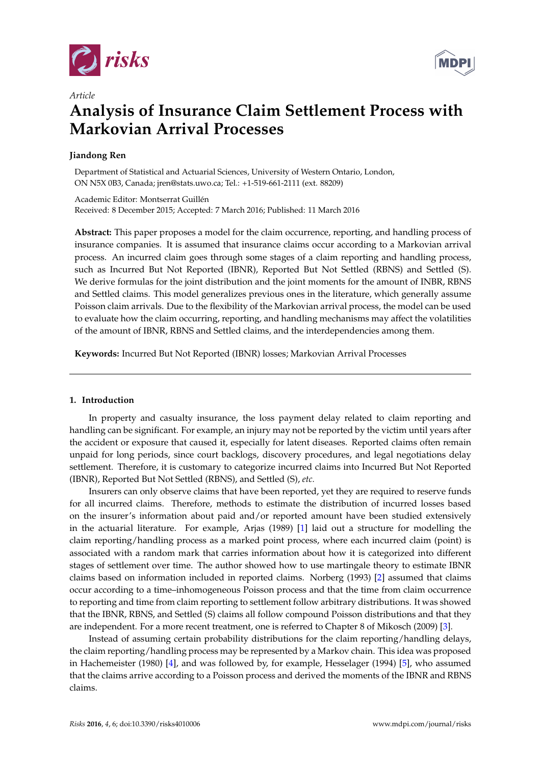



# *Article*

# **Analysis of Insurance Claim Settlement Process with Markovian Arrival Processes**

# **Jiandong Ren**

Department of Statistical and Actuarial Sciences, University of Western Ontario, London, ON N5X 0B3, Canada; jren@stats.uwo.ca; Tel.: +1-519-661-2111 (ext. 88209)

Academic Editor: Montserrat Guillén Received: 8 December 2015; Accepted: 7 March 2016; Published: 11 March 2016

**Abstract:** This paper proposes a model for the claim occurrence, reporting, and handling process of insurance companies. It is assumed that insurance claims occur according to a Markovian arrival process. An incurred claim goes through some stages of a claim reporting and handling process, such as Incurred But Not Reported (IBNR), Reported But Not Settled (RBNS) and Settled (S). We derive formulas for the joint distribution and the joint moments for the amount of INBR, RBNS and Settled claims. This model generalizes previous ones in the literature, which generally assume Poisson claim arrivals. Due to the flexibility of the Markovian arrival process, the model can be used to evaluate how the claim occurring, reporting, and handling mechanisms may affect the volatilities of the amount of IBNR, RBNS and Settled claims, and the interdependencies among them.

**Keywords:** Incurred But Not Reported (IBNR) losses; Markovian Arrival Processes

## **1. Introduction**

In property and casualty insurance, the loss payment delay related to claim reporting and handling can be significant. For example, an injury may not be reported by the victim until years after the accident or exposure that caused it, especially for latent diseases. Reported claims often remain unpaid for long periods, since court backlogs, discovery procedures, and legal negotiations delay settlement. Therefore, it is customary to categorize incurred claims into Incurred But Not Reported (IBNR), Reported But Not Settled (RBNS), and Settled (S), *etc.*

Insurers can only observe claims that have been reported, yet they are required to reserve funds for all incurred claims. Therefore, methods to estimate the distribution of incurred losses based on the insurer's information about paid and/or reported amount have been studied extensively in the actuarial literature. For example, Arjas (1989) [\[1\]](#page-9-0) laid out a structure for modelling the claim reporting/handling process as a marked point process, where each incurred claim (point) is associated with a random mark that carries information about how it is categorized into different stages of settlement over time. The author showed how to use martingale theory to estimate IBNR claims based on information included in reported claims. Norberg (1993) [\[2\]](#page-9-1) assumed that claims occur according to a time–inhomogeneous Poisson process and that the time from claim occurrence to reporting and time from claim reporting to settlement follow arbitrary distributions. It was showed that the IBNR, RBNS, and Settled (S) claims all follow compound Poisson distributions and that they are independent. For a more recent treatment, one is referred to Chapter 8 of Mikosch (2009) [\[3\]](#page-9-2).

Instead of assuming certain probability distributions for the claim reporting/handling delays, the claim reporting/handling process may be represented by a Markov chain. This idea was proposed in Hachemeister (1980) [\[4\]](#page-9-3), and was followed by, for example, Hesselager (1994) [\[5\]](#page-9-4), who assumed that the claims arrive according to a Poisson process and derived the moments of the IBNR and RBNS claims.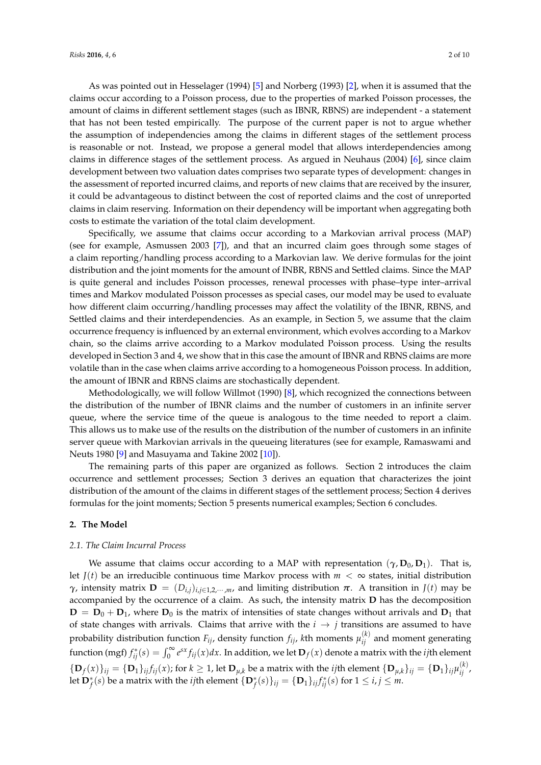claims occur according to a Poisson process, due to the properties of marked Poisson processes, the amount of claims in different settlement stages (such as IBNR, RBNS) are independent - a statement that has not been tested empirically. The purpose of the current paper is not to argue whether the assumption of independencies among the claims in different stages of the settlement process is reasonable or not. Instead, we propose a general model that allows interdependencies among claims in difference stages of the settlement process. As argued in Neuhaus (2004) [\[6\]](#page-9-5), since claim development between two valuation dates comprises two separate types of development: changes in the assessment of reported incurred claims, and reports of new claims that are received by the insurer, it could be advantageous to distinct between the cost of reported claims and the cost of unreported claims in claim reserving. Information on their dependency will be important when aggregating both costs to estimate the variation of the total claim development.

Specifically, we assume that claims occur according to a Markovian arrival process (MAP) (see for example, Asmussen 2003 [\[7\]](#page-9-6)), and that an incurred claim goes through some stages of a claim reporting/handling process according to a Markovian law. We derive formulas for the joint distribution and the joint moments for the amount of INBR, RBNS and Settled claims. Since the MAP is quite general and includes Poisson processes, renewal processes with phase–type inter–arrival times and Markov modulated Poisson processes as special cases, our model may be used to evaluate how different claim occurring/handling processes may affect the volatility of the IBNR, RBNS, and Settled claims and their interdependencies. As an example, in Section 5, we assume that the claim occurrence frequency is influenced by an external environment, which evolves according to a Markov chain, so the claims arrive according to a Markov modulated Poisson process. Using the results developed in Section 3 and 4, we show that in this case the amount of IBNR and RBNS claims are more volatile than in the case when claims arrive according to a homogeneous Poisson process. In addition, the amount of IBNR and RBNS claims are stochastically dependent.

Methodologically, we will follow Willmot (1990) [\[8\]](#page-9-7), which recognized the connections between the distribution of the number of IBNR claims and the number of customers in an infinite server queue, where the service time of the queue is analogous to the time needed to report a claim. This allows us to make use of the results on the distribution of the number of customers in an infinite server queue with Markovian arrivals in the queueing literatures (see for example, Ramaswami and Neuts 1980 [\[9\]](#page-9-8) and Masuyama and Takine 2002 [\[10\]](#page-9-9)).

The remaining parts of this paper are organized as follows. Section 2 introduces the claim occurrence and settlement processes; Section 3 derives an equation that characterizes the joint distribution of the amount of the claims in different stages of the settlement process; Section 4 derives formulas for the joint moments; Section 5 presents numerical examples; Section 6 concludes.

#### **2. The Model**

#### *2.1. The Claim Incurral Process*

We assume that claims occur according to a MAP with representation  $(\gamma, D_0, D_1)$ . That is, let  $J(t)$  be an irreducible continuous time Markov process with  $m < \infty$  states, initial distribution *γ*, intensity matrix **D** =  $(D_{i,j})_{i,j\in 1,2,\dots,m}$ , and limiting distribution *π*. A transition in *J*(*t*) may be accompanied by the occurrence of a claim. As such, the intensity matrix **D** has the decomposition  $D = D_0 + D_1$ , where  $D_0$  is the matrix of intensities of state changes without arrivals and  $D_1$  that of state changes with arrivals. Claims that arrive with the  $i \rightarrow j$  transitions are assumed to have probability distribution function  $F_{ij}$ , density function  $f_{ij}$ , kth moments  $\mu_{ij}^{(k)}$  and moment generating function (mgf)  $f_{ij}^*(s) = \int_0^\infty e^{sx} f_{ij}(x) dx$ . In addition, we let  $\mathbf{D}_f(x)$  denote a matrix with the *ij*th element  $\{{\bf D}_f(x)\}_{ij}=\{{\bf D}_1\}_{ij}f_{ij}(x)$ ; for  $k\geq 1$ , let  ${\bf D}_{\mu,k}$  be a matrix with the *ij*th element  $\{{\bf D}_{\mu,k}\}_{ij}=\{{\bf D}_1\}_{ij}\mu_{ij}^{(k)}$ , let  $\mathbf{D}_f^*(s)$  be a matrix with the *ij*th element  $\{\mathbf{D}_f^*(s)\}_{ij} = \{\mathbf{D}_1\}_{ij} f^*_{ij}(s)$  for  $1 \le i, j \le m$ .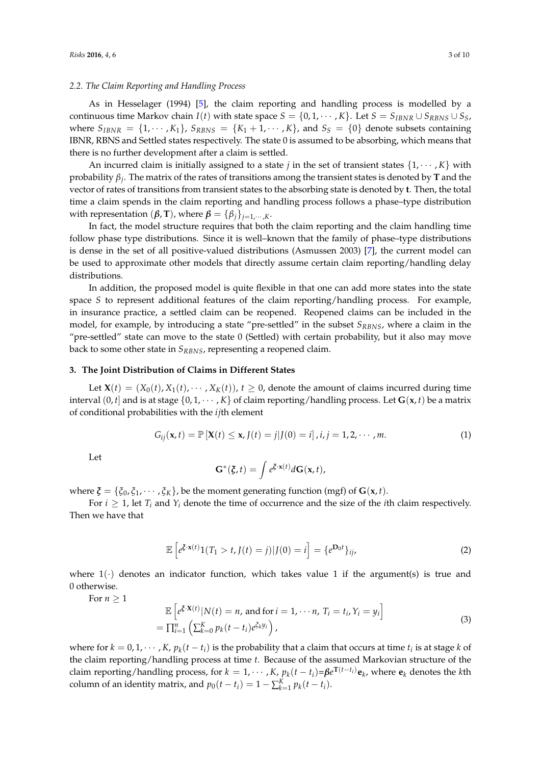#### *2.2. The Claim Reporting and Handling Process*

As in Hesselager (1994) [\[5\]](#page-9-4), the claim reporting and handling process is modelled by a continuous time Markov chain *I*(*t*) with state space  $S = \{0, 1, \dots, K\}$ . Let  $S = S_{IBNR} \cup S_{RBNS} \cup S_S$ , where  $S_{IBNR} = \{1, \dots, K_1\}$ ,  $S_{RBNS} = \{K_1 + 1, \dots, K\}$ , and  $S_S = \{0\}$  denote subsets containing IBNR, RBNS and Settled states respectively. The state 0 is assumed to be absorbing, which means that there is no further development after a claim is settled.

An incurred claim is initially assigned to a state *j* in the set of transient states  $\{1, \dots, K\}$  with probability *β<sup>j</sup>* . The matrix of the rates of transitions among the transient states is denoted by **T** and the vector of rates of transitions from transient states to the absorbing state is denoted by **t**. Then, the total time a claim spends in the claim reporting and handling process follows a phase–type distribution with representation ( $\beta$ , **T**), where  $\beta = {\beta_i}_{i=1,\dots,K}$ .

In fact, the model structure requires that both the claim reporting and the claim handling time follow phase type distributions. Since it is well–known that the family of phase–type distributions is dense in the set of all positive-valued distributions (Asmussen 2003) [\[7\]](#page-9-6), the current model can be used to approximate other models that directly assume certain claim reporting/handling delay distributions.

In addition, the proposed model is quite flexible in that one can add more states into the state space *S* to represent additional features of the claim reporting/handling process. For example, in insurance practice, a settled claim can be reopened. Reopened claims can be included in the model, for example, by introducing a state "pre-settled" in the subset *SRBNS*, where a claim in the "pre-settled" state can move to the state 0 (Settled) with certain probability, but it also may move back to some other state in *SRBNS*, representing a reopened claim.

#### **3. The Joint Distribution of Claims in Different States**

Let  $X(t) = (X_0(t), X_1(t), \dots, X_K(t)), t \ge 0$ , denote the amount of claims incurred during time interval  $(0, t]$  and is at stage  $\{0, 1, \dots, K\}$  of claim reporting/handling process. Let  $\mathbf{G}(\mathbf{x}, t)$  be a matrix of conditional probabilities with the *ij*th element

$$
G_{ij}(\mathbf{x},t) = \mathbb{P}\left[\mathbf{X}(t) \le \mathbf{x}, J(t) = j | J(0) = i\right], i, j = 1, 2, \cdots, m.
$$
 (1)

Let

$$
\mathbf{G}^*(\boldsymbol{\xi},t)=\int e^{\boldsymbol{\xi}\cdot\mathbf{x}(t)}d\mathbf{G}(\mathbf{x},t),
$$

where  $\zeta = {\zeta_0, \zeta_1, \cdots, \zeta_K}$ , be the moment generating function (mgf) of **G**(**x**, *t*).

For  $i \geq 1$ , let  $T_i$  and  $Y_i$  denote the time of occurrence and the size of the *i*th claim respectively. Then we have that

<span id="page-2-0"></span>
$$
\mathbb{E}\left[e^{\xi \cdot \mathbf{x}(t)} \mathbf{1}(T_1 > t, J(t) = j) | J(0) = i\right] = \{e^{\mathbf{D}_0 t}\}_{ij},\tag{2}
$$

where  $1(\cdot)$  denotes an indicator function, which takes value 1 if the argument(s) is true and 0 otherwise.

For  $n \geq 1$ 

<span id="page-2-1"></span>
$$
\mathbb{E}\left[e^{\xi \cdot \mathbf{X}(t)}|N(t) = n, \text{ and for } i = 1, \cdots n, T_i = t_i, Y_i = y_i\right]
$$
\n
$$
= \prod_{i=1}^n \left(\sum_{k=0}^K p_k(t - t_i)e^{\xi_k y_i}\right),
$$
\n(3)

where for  $k = 0, 1, \dots, K$ ,  $p_k(t - t_i)$  is the probability that a claim that occurs at time  $t_i$  is at stage  $k$  of the claim reporting/handling process at time *t*. Because of the assumed Markovian structure of the claim reporting/handling process, for  $k=1,\cdots,K$ ,  $p_k(t-t_i)=\beta e^{T(t-t_i)}\mathbf{e}_k$ , where  $\mathbf{e}_k$  denotes the kth column of an identity matrix, and  $p_0(t - t_i) = 1 - \sum_{k=1}^{K} p_k(t - t_i)$ .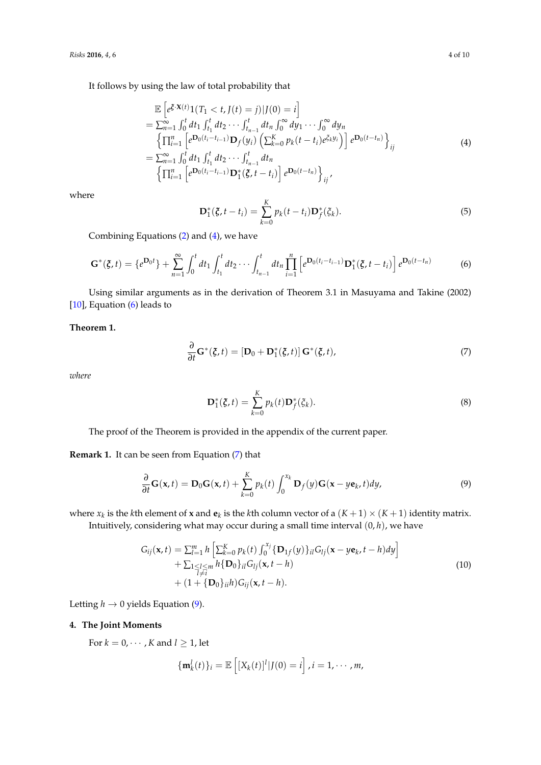It follows by using the law of total probability that

<span id="page-3-0"></span>
$$
\mathbb{E}\left[e^{\xi \cdot \mathbf{X}(t)}\mathbf{1}(T_1 < t, J(t) = j)|J(0) = i\right] \n= \sum_{n=1}^{\infty} \int_0^t dt_1 \int_{t_1}^t dt_2 \cdots \int_{t_{n-1}}^t dt_n \int_0^{\infty} dy_1 \cdots \int_0^{\infty} dy_n \n\left\{\prod_{i=1}^n \left[e^{\mathbf{D}_0(t_i - t_{i-1})} \mathbf{D}_f(y_i) \left(\sum_{k=0}^K p_k(t - t_i)e^{\xi_k y_i}\right)\right] e^{\mathbf{D}_0(t - t_n)}\right\}_{ij} \n= \sum_{n=1}^{\infty} \int_0^t dt_1 \int_{t_1}^t dt_2 \cdots \int_{t_{n-1}}^t dt_n \n\left\{\prod_{i=1}^n \left[e^{\mathbf{D}_0(t_i - t_{i-1})} \mathbf{D}_1^*(\xi, t - t_i)\right] e^{\mathbf{D}_0(t - t_n)}\right\}_{ij},
$$
\n(4)

where

$$
\mathbf{D}_{1}^{*}(\boldsymbol{\xi},t-t_{i})=\sum_{k=0}^{K}p_{k}(t-t_{i})\mathbf{D}_{f}^{*}(\boldsymbol{\xi}_{k}).
$$
\n(5)

Combining Equations [\(2\)](#page-2-0) and [\(4\)](#page-3-0), we have

<span id="page-3-1"></span>
$$
\mathbf{G}^*(\xi,t) = \{e^{\mathbf{D}_0 t}\} + \sum_{n=1}^{\infty} \int_0^t dt_1 \int_{t_1}^t dt_2 \cdots \int_{t_{n-1}}^t dt_n \prod_{i=1}^n \left[e^{\mathbf{D}_0(t_i - t_{i-1})} \mathbf{D}_1^*(\xi, t - t_i)\right] e^{\mathbf{D}_0(t - t_n)}
$$
(6)

Using similar arguments as in the derivation of Theorem 3.1 in Masuyama and Takine (2002) [\[10\]](#page-9-9), Equation [\(6\)](#page-3-1) leads to

#### <span id="page-3-5"></span>**Theorem 1.**

<span id="page-3-2"></span>
$$
\frac{\partial}{\partial t} \mathbf{G}^*(\xi, t) = [\mathbf{D}_0 + \mathbf{D}_1^*(\xi, t)] \mathbf{G}^*(\xi, t), \tag{7}
$$

*where*

<span id="page-3-4"></span>
$$
\mathbf{D}_{1}^{*}(\boldsymbol{\xi},t)=\sum_{k=0}^{K}p_{k}(t)\mathbf{D}_{f}^{*}(\xi_{k}).
$$
\n(8)

The proof of the Theorem is provided in the appendix of the current paper.

**Remark 1.** It can be seen from Equation [\(7\)](#page-3-2) that

<span id="page-3-3"></span>
$$
\frac{\partial}{\partial t} \mathbf{G}(\mathbf{x}, t) = \mathbf{D}_0 \mathbf{G}(\mathbf{x}, t) + \sum_{k=0}^{K} p_k(t) \int_0^{x_k} \mathbf{D}_f(y) \mathbf{G}(\mathbf{x} - y \mathbf{e}_k, t) dy,
$$
\n(9)

where  $x_k$  is the *k*th element of **x** and  $e_k$  is the *k*th column vector of a  $(K + 1) \times (K + 1)$  identity matrix. Intuitively, considering what may occur during a small time interval (0, *h*), we have

$$
G_{ij}(\mathbf{x},t) = \sum_{l=1}^{m} h \left[ \sum_{k=0}^{K} p_k(t) \int_0^{x_j} \{ \mathbf{D}_{1f}(y) \}_{il} G_{lj}(\mathbf{x} - y \mathbf{e}_k, t - h) dy \right] + \sum_{\substack{1 \le l \le m \\ l \neq i}} h \{ \mathbf{D}_0 \}_{il} G_{lj}(\mathbf{x},t-h) + (1 + \{ \mathbf{D}_0 \}_{il} h) G_{ij}(\mathbf{x},t-h).
$$
\n(10)

Letting  $h \to 0$  yields Equation [\(9\)](#page-3-3).

### **4. The Joint Moments**

For  $k = 0, \dots, K$  and  $l \geq 1$ , let

$$
\{\mathbf{m}_k^l(t)\}_i = \mathbb{E}\left[ [X_k(t)]^l | J(0) = i \right], i = 1, \cdots, m,
$$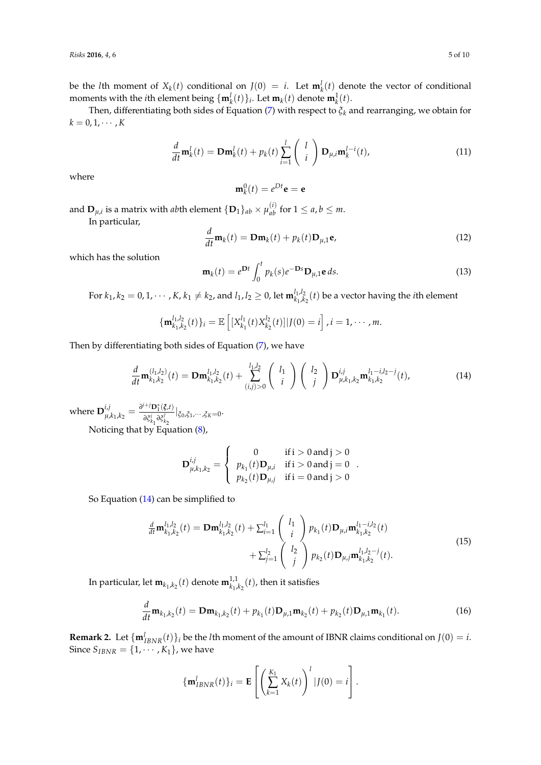be the *l*th moment of  $X_k(t)$  conditional on  $J(0) = i$ . Let  $\mathbf{m}_k^l(t)$  denote the vector of conditional moments with the *i*th element being  $\{\mathbf{m}_k^l(t)\}_i$ . Let  $\mathbf{m}_k(t)$  denote  $\mathbf{m}_k^1(t)$ .

Then, differentiating both sides of Equation [\(7\)](#page-3-2) with respect to *ξ<sup>k</sup>* and rearranging, we obtain for  $k = 0, 1, \cdots, K$ 

<span id="page-4-2"></span>
$$
\frac{d}{dt}\mathbf{m}_k^l(t) = \mathbf{D}\mathbf{m}_k^l(t) + p_k(t) \sum_{i=1}^l \begin{pmatrix} l \\ i \end{pmatrix} \mathbf{D}_{\mu,i}\mathbf{m}_k^{l-i}(t),
$$
\n(11)

where

$$
\mathbf{m}_k^0(t) = e^{Dt}\mathbf{e} = \mathbf{e}
$$

and  $\mathbf{D}_{\mu,i}$  is a matrix with *ab*th element  $\{\mathbf{D}_1\}_{ab}\times \mu_{ab}^{(i)}$  for  $1\leq a,b\leq m.$ 

In particular,

$$
\frac{d}{dt}\mathbf{m}_k(t) = \mathbf{D}\mathbf{m}_k(t) + p_k(t)\mathbf{D}_{\mu,1}\mathbf{e},\tag{12}
$$

which has the solution

$$
\mathbf{m}_k(t) = e^{\mathbf{D}t} \int_0^t p_k(s) e^{-\mathbf{D}s} \mathbf{D}_{\mu,1} \mathbf{e} \, ds. \tag{13}
$$

For  $k_1, k_2 = 0, 1, \cdots$  ,  $K, k_1 \neq k_2$ , and  $l_1, l_2 \geq 0$ , let  $\mathbf{m}_{k_1, k_2}^{l_1, l_2}$  $\int_{k_1,k_2}^{k_1,k_2}(t)$  be a vector having the *i*th element

$$
\{\mathbf{m}_{k_1,k_2}^{l_1,l_2}(t)\}_i = \mathbb{E}\left[ [X_{k_1}^{l_1}(t)X_{k_2}^{l_2}(t)]|J(0) = i \right], i = 1,\cdots,m.
$$

Then by differentiating both sides of Equation [\(7\)](#page-3-2), we have

<span id="page-4-0"></span>
$$
\frac{d}{dt}\mathbf{m}_{k_1,k_2}^{(l_1,l_2)}(t) = \mathbf{D}\mathbf{m}_{k_1,k_2}^{l_1,l_2}(t) + \sum_{(i,j)>0}^{l_1,l_2} \begin{pmatrix} l_1 \\ i \end{pmatrix} \begin{pmatrix} l_2 \\ j \end{pmatrix} \mathbf{D}_{\mu,k_1,k_2}^{i,j} \mathbf{m}_{k_1,k_2}^{l_1-i,l_2-j}(t),\tag{14}
$$

where  $\mathbf{D}_{u}^{i,j}$  $\frac{d}{dt}i,j_{\mu,k_1,k_2} = \frac{\partial^{i+j} \mathbf{D}_1^*(\boldsymbol{\xi},t)}{\partial \zeta_i^i \partial \zeta_i^j}$  $∂ξ<sup>i</sup><sub>k<sub>1</sub></sub>$   $∂ξ<sup>j</sup><sub>k<sub>2</sub></sub>$  $|\xi_0$ ,ξ<sub>1</sub>,...,ξ<sub>K</sub>=0·

Noticing that by Equation  $(8)$ ,

$$
\mathbf{D}_{\mu,k_1,k_2}^{i,j} = \begin{cases} 0 & \text{if } i > 0 \text{ and } j > 0 \\ p_{k_1}(t)\mathbf{D}_{\mu,i} & \text{if } i > 0 \text{ and } j = 0 \\ p_{k_2}(t)\mathbf{D}_{\mu,j} & \text{if } i = 0 \text{ and } j > 0 \end{cases}.
$$

So Equation [\(14\)](#page-4-0) can be simplified to

<span id="page-4-1"></span>
$$
\frac{d}{dt}\mathbf{m}_{k_1,k_2}^{l_1,l_2}(t) = \mathbf{D}\mathbf{m}_{k_1,k_2}^{l_1,l_2}(t) + \sum_{i=1}^{l_1} \begin{pmatrix} l_1 \\ i \\ j \end{pmatrix} p_{k_1}(t) \mathbf{D}_{\mu,i} \mathbf{m}_{k_1,k_2}^{l_1-i,l_2}(t) + \sum_{j=1}^{l_2} \begin{pmatrix} l_2 \\ j \end{pmatrix} p_{k_2}(t) \mathbf{D}_{\mu,j} \mathbf{m}_{k_1,k_2}^{l_1,l_2-j}(t).
$$
\n(15)

In particular, let  $\mathbf{m}_{k_1, k_2}(t)$  denote  $\mathbf{m}_{k_1, k_2}^{1,1}$  $\int_{k_1,k_2}^{1,1}(t)$ , then it satisfies

$$
\frac{d}{dt}\mathbf{m}_{k_1,k_2}(t) = \mathbf{D}\mathbf{m}_{k_1,k_2}(t) + p_{k_1}(t)\mathbf{D}_{\mu,1}\mathbf{m}_{k_2}(t) + p_{k_2}(t)\mathbf{D}_{\mu,1}\mathbf{m}_{k_1}(t).
$$
\n(16)

**Remark 2.** Let  ${\bf m}_{IBNR}^l(t)$ *<sub>i</sub>* be the *l*th moment of the amount of IBNR claims conditional on  $J(0) = i$ . Since  $S_{IBNR} = \{1, \cdots, K_1\}$ , we have

$$
\{\mathbf{m}_{IBNR}^l(t)\}_i = \mathbf{E}\left[\left(\sum_{k=1}^{K_1} X_k(t)\right)^l | J(0) = i\right].
$$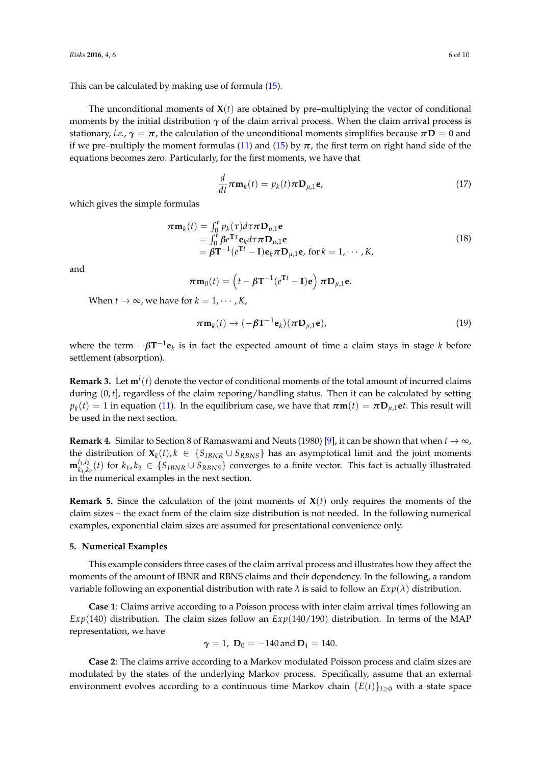This can be calculated by making use of formula [\(15\)](#page-4-1).

The unconditional moments of  $X(t)$  are obtained by pre–multiplying the vector of conditional moments by the initial distribution  $\gamma$  of the claim arrival process. When the claim arrival process is stationary, *i.e.*,  $\gamma = \pi$ , the calculation of the unconditional moments simplifies because  $\pi$ **D** = **0** and if we pre–multiply the moment formulas [\(11\)](#page-4-2) and [\(15\)](#page-4-1) by  $\pi$ , the first term on right hand side of the equations becomes zero. Particularly, for the first moments, we have that

$$
\frac{d}{dt}\pi \mathbf{m}_k(t) = p_k(t)\pi \mathbf{D}_{\mu,1}\mathbf{e},\tag{17}
$$

which gives the simple formulas

$$
\pi \mathbf{m}_{k}(t) = \int_{0}^{t} p_{k}(\tau) d\tau \pi \mathbf{D}_{\mu,1} \mathbf{e}
$$
  
= 
$$
\int_{0}^{t} \beta e^{\mathbf{T}\tau} \mathbf{e}_{k} d\tau \pi \mathbf{D}_{\mu,1} \mathbf{e}
$$
  
= 
$$
\beta \mathbf{T}^{-1} (e^{\mathbf{T}t} - \mathbf{I}) \mathbf{e}_{k} \pi \mathbf{D}_{\mu,1} \mathbf{e}, \text{ for } k = 1, \cdots, K,
$$
 (18)

and

$$
\boldsymbol{\pi}\mathbf{m}_0(t) = \left(t - \boldsymbol{\beta}\mathbf{T}^{-1}(e^{\mathbf{T}t}-\mathbf{I})\mathbf{e}\right)\boldsymbol{\pi}\mathbf{D}_{\mu,1}\mathbf{e}.
$$

When  $t \to \infty$ , we have for  $k = 1, \dots, K$ ,

$$
\pi \mathbf{m}_{k}(t) \rightarrow (-\beta \mathbf{T}^{-1} \mathbf{e}_{k})(\pi \mathbf{D}_{\mu,1} \mathbf{e}), \qquad (19)
$$

where the term −*β***T** <sup>−</sup>1**e***<sup>k</sup>* is in fact the expected amount of time a claim stays in stage *k* before settlement (absorption).

<span id="page-5-0"></span>**Remark 3.** Let  $\mathbf{m}^l(t)$  denote the vector of conditional moments of the total amount of incurred claims during (0, *t*], regardless of the claim reporing/handling status. Then it can be calculated by setting  $p_k(t) = 1$  in equation [\(11\)](#page-4-2). In the equilibrium case, we have that  $\pi \mathbf{m}(t) = \pi \mathbf{D}_{\mu,1}$ e $t$ . This result will be used in the next section.

**Remark 4.** Similar to Section 8 of Ramaswami and Neuts (1980) [\[9\]](#page-9-8), it can be shown that when  $t \to \infty$ , the distribution of  $\mathbf{X}_k(t)$ ,  $k \in \{S_{IBNR} \cup S_{RBNS}\}\)$  has an asymptotical limit and the joint moments  $\mathbf{m}_{k_1,k_2}^{l_1,l_2}$  $\{k_{1},k_{2}\}(t)$  for  $k_{1},k_{2}$  ∈  $\{S_{IBNR} \cup S_{RBNS}\}$  converges to a finite vector. This fact is actually illustrated in the numerical examples in the next section.

**Remark 5.** Since the calculation of the joint moments of  $X(t)$  only requires the moments of the claim sizes – the exact form of the claim size distribution is not needed. In the following numerical examples, exponential claim sizes are assumed for presentational convenience only.

#### **5. Numerical Examples**

This example considers three cases of the claim arrival process and illustrates how they affect the moments of the amount of IBNR and RBNS claims and their dependency. In the following, a random variable following an exponential distribution with rate  $\lambda$  is said to follow an  $Exp(\lambda)$  distribution.

**Case 1**: Claims arrive according to a Poisson process with inter claim arrival times following an *Exp*(140) distribution. The claim sizes follow an *Exp*(140/190) distribution. In terms of the MAP representation, we have

$$
\gamma = 1
$$
,  $D_0 = -140$  and  $D_1 = 140$ .

**Case 2**: The claims arrive according to a Markov modulated Poisson process and claim sizes are modulated by the states of the underlying Markov process. Specifically, assume that an external environment evolves according to a continuous time Markov chain  ${E(t)}_{t>0}$  with a state space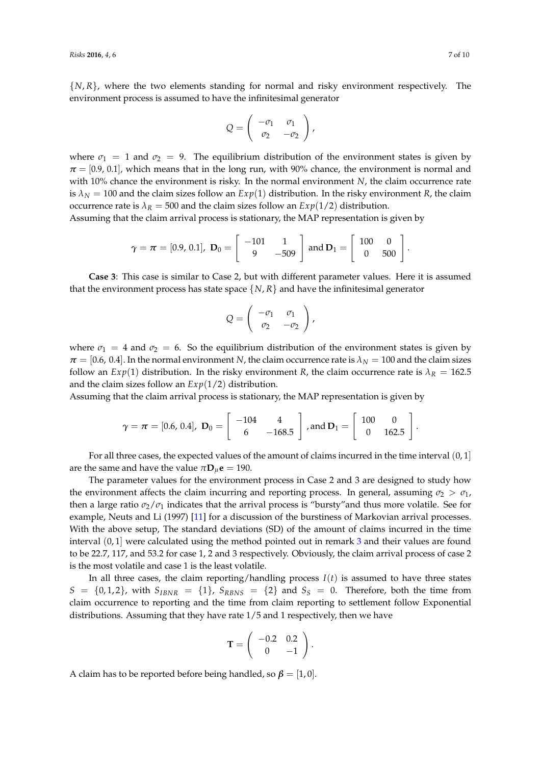{*N*, *R*}, where the two elements standing for normal and risky environment respectively. The environment process is assumed to have the infinitesimal generator

$$
Q = \left(\begin{array}{cc} -\sigma_1 & \sigma_1 \\ \sigma_2 & -\sigma_2 \end{array}\right),
$$

where  $\sigma_1 = 1$  and  $\sigma_2 = 9$ . The equilibrium distribution of the environment states is given by  $\pi = [0.9, 0.1]$ , which means that in the long run, with 90% chance, the environment is normal and with 10% chance the environment is risky. In the normal environment *N*, the claim occurrence rate is  $\lambda_N = 100$  and the claim sizes follow an  $Exp(1)$  distribution. In the risky environment *R*, the claim occurrence rate is  $\lambda_R = 500$  and the claim sizes follow an  $Exp(1/2)$  distribution.

Assuming that the claim arrival process is stationary, the MAP representation is given by

$$
\gamma = \pi = [0.9, 0.1],
$$
  $\mathbf{D}_0 = \begin{bmatrix} -101 & 1 \\ 9 & -509 \end{bmatrix}$  and  $\mathbf{D}_1 = \begin{bmatrix} 100 & 0 \\ 0 & 500 \end{bmatrix}$ .

**Case 3**: This case is similar to Case 2, but with different parameter values. Here it is assumed that the environment process has state space  $\{N, R\}$  and have the infinitesimal generator

$$
Q=\left(\begin{array}{cc}-\sigma_1 & \sigma_1\\ \sigma_2 & -\sigma_2\end{array}\right),\,
$$

where  $\sigma_1 = 4$  and  $\sigma_2 = 6$ . So the equilibrium distribution of the environment states is given by  $\pi = [0.6, 0.4]$ . In the normal environment *N*, the claim occurrence rate is  $\lambda_N = 100$  and the claim sizes follow an *Exp*(1) distribution. In the risky environment *R*, the claim occurrence rate is  $\lambda_R = 162.5$ and the claim sizes follow an *Exp*(1/2) distribution.

Assuming that the claim arrival process is stationary, the MAP representation is given by

$$
\gamma = \pi = [0.6, 0.4],
$$
  $\mathbf{D}_0 = \begin{bmatrix} -104 & 4 \\ 6 & -168.5 \end{bmatrix}$ , and  $\mathbf{D}_1 = \begin{bmatrix} 100 & 0 \\ 0 & 162.5 \end{bmatrix}$ .

For all three cases, the expected values of the amount of claims incurred in the time interval (0, 1] are the same and have the value  $\pi \mathbf{D}_{\mu} \mathbf{e} = 190$ .

The parameter values for the environment process in Case 2 and 3 are designed to study how the environment affects the claim incurring and reporting process. In general, assuming  $\sigma_2 > \sigma_1$ , then a large ratio  $\sigma_2/\sigma_1$  indicates that the arrival process is "bursty" and thus more volatile. See for example, Neuts and Li (1997) [\[11\]](#page-9-10) for a discussion of the burstiness of Markovian arrival processes. With the above setup, The standard deviations (SD) of the amount of claims incurred in the time interval (0, 1] were calculated using the method pointed out in remark [3](#page-5-0) and their values are found to be 22.7, 117, and 53.2 for case 1, 2 and 3 respectively. Obviously, the claim arrival process of case 2 is the most volatile and case 1 is the least volatile.

In all three cases, the claim reporting/handling process  $I(t)$  is assumed to have three states  $S = \{0, 1, 2\}$ , with  $S_{IBNR} = \{1\}$ ,  $S_{RBNS} = \{2\}$  and  $S_S = 0$ . Therefore, both the time from claim occurrence to reporting and the time from claim reporting to settlement follow Exponential distributions. Assuming that they have rate 1/5 and 1 respectively, then we have

$$
\mathbf{T} = \left( \begin{array}{cc} -0.2 & 0.2 \\ 0 & -1 \end{array} \right).
$$

A claim has to be reported before being handled, so  $\beta = [1, 0]$ .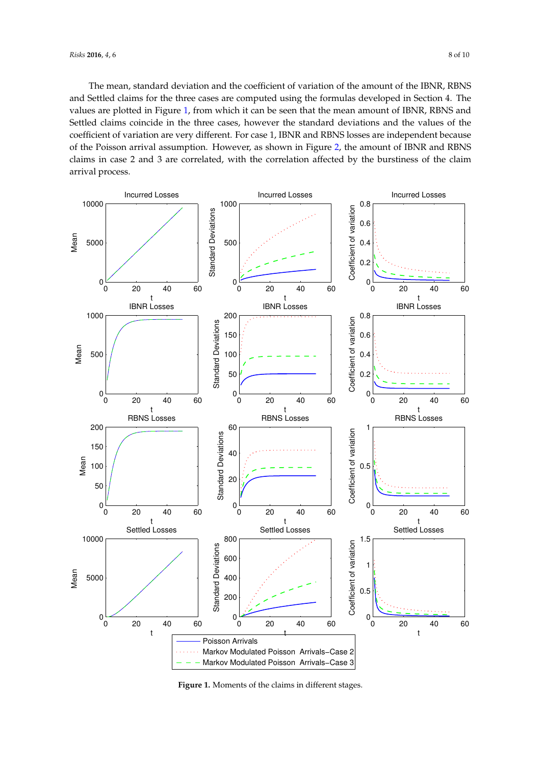The mean, standard deviation and the coefficient of variation of the amount of the IBNR, RBNS and Settled claims for the three cases are computed using the formulas developed in Section 4. The values are plotted in Figure [1,](#page-7-0) from which it can be seen that the mean amount of IBNR, RBNS and Settled claims coincide in the three cases, however the standard deviations and the values of the coefficient of variation are very different. For case 1, IBNR and RBNS losses are independent because of the Poisson arrival assumption. However, as shown in Figure [2,](#page-8-0) the amount of IBNR and RBNS claims in case 2 and 3 are correlated, with the correlation affected by the burstiness of the claim arrival process.

<span id="page-7-0"></span>

**Figure 1.** Moments of the claims in different stages.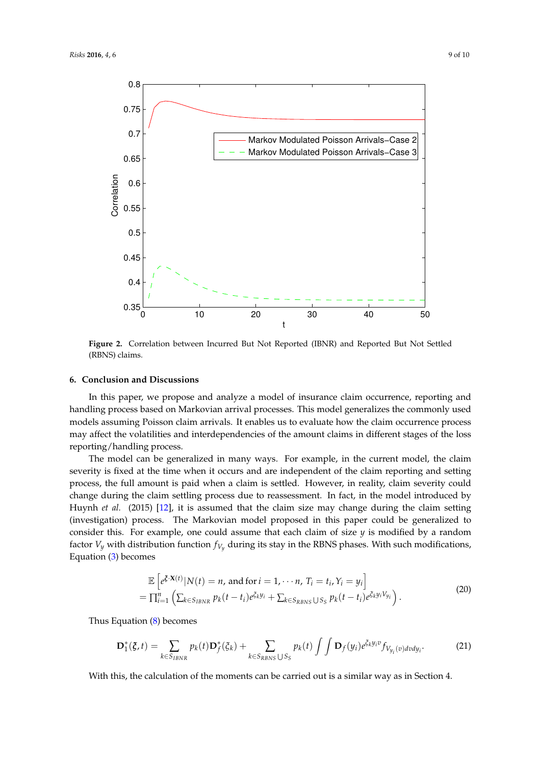<span id="page-8-0"></span>

**Figure 2.** Correlation between Incurred But Not Reported (IBNR) and Reported But Not Settled (RBNS) claims.

#### **6. Conclusion and Discussions**

In this paper, we propose and analyze a model of insurance claim occurrence, reporting and handling process based on Markovian arrival processes. This model generalizes the commonly used models assuming Poisson claim arrivals. It enables us to evaluate how the claim occurrence process may affect the volatilities and interdependencies of the amount claims in different stages of the loss reporting/handling process.

The model can be generalized in many ways. For example, in the current model, the claim severity is fixed at the time when it occurs and are independent of the claim reporting and setting process, the full amount is paid when a claim is settled. However, in reality, claim severity could change during the claim settling process due to reassessment. In fact, in the model introduced by Huynh *et al.* (2015) [\[12\]](#page-9-11), it is assumed that the claim size may change during the claim setting (investigation) process. The Markovian model proposed in this paper could be generalized to consider this. For example, one could assume that each claim of size *y* is modified by a random factor  $V_y$  with distribution function  $f_{V_y}$  during its stay in the RBNS phases. With such modifications, Equation [\(3\)](#page-2-1) becomes

$$
\mathbb{E}\left[e^{\xi \cdot \mathbf{X}(t)}|N(t) = n, \text{ and for } i = 1, \cdots n, T_i = t_i, Y_i = y_i\right] \n= \prod_{i=1}^n \left(\sum_{k \in S_{IBNR}} p_k(t - t_i)e^{\xi_k y_i} + \sum_{k \in S_{RBNS} \cup S_S} p_k(t - t_i)e^{\xi_k y_i V_{y_i}}\right).
$$
\n(20)

Thus Equation [\(8\)](#page-3-4) becomes

$$
\mathbf{D}_{1}^{*}(\boldsymbol{\xi},t) = \sum_{k \in S_{IBNR}} p_{k}(t)\mathbf{D}_{f}^{*}(\xi_{k}) + \sum_{k \in S_{RBNS} \cup S_{S}} p_{k}(t) \int \int \mathbf{D}_{f}(y_{i}) e^{\xi_{k}y_{i}v} f_{V_{y_{i}}(v)dvdy_{i}}.
$$
(21)

With this, the calculation of the moments can be carried out is a similar way as in Section 4.